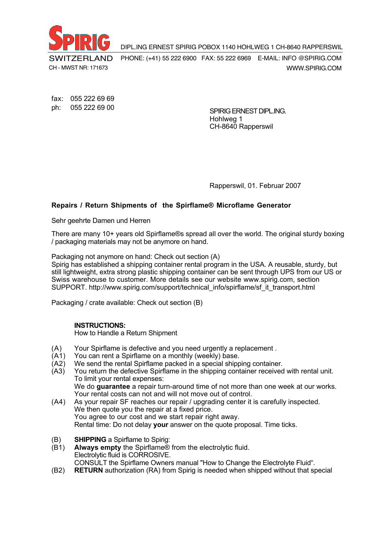

DIPL.ING ERNEST SPIRIG POBOX 1140 HOHLWEG 1 CH-8640 RAPPERSWIL

WWW.SPIRIG.COM PHONE: (+41) 55 222 6900 FAX: 55 222 6969 E-MAIL: INFO @SPIRIG.COM

fax: 055 222 69 69 ph: 055 222 69 00

SPIRIG ERNEST DIPL.ING. Hohlweg 1 CH-8640 Rapperswil

Rapperswil, 01. Februar 2007

# **Repairs / Return Shipments of the Spirflame® Microflame Generator**

Sehr geehrte Damen und Herren

There are many 10+ years old Spirflame®s spread all over the world. The original sturdy boxing / packaging materials may not be anymore on hand.

Packaging not anymore on hand: Check out section (A)

Spirig has established a shipping container rental program in the USA. A reusable, sturdy, but still lightweight, extra strong plastic shipping container can be sent through UPS from our US or Swiss warehouse to customer. More details see our website www.spirig.com, section SUPPORT. http://www.spirig.com/support/technical\_info/spirflame/sf\_it\_transport.html

Packaging / crate available: Check out section (B)

## **INSTRUCTIONS:**

How to Handle a Return Shipment

- (A) Your Spirflame is defective and you need urgently a replacement .
- (A1) You can rent a Spirflame on a monthly (weekly) base.
- (A2) We send the rental Spirflame packed in a special shipping container.<br>(A3) You return the defective Spirflame in the shipping container received
- You return the defective Spirflame in the shipping container received with rental unit. To limit your rental expenses: We do **guarantee** a repair turn-around time of not more than one week at our works. Your rental costs can not and will not move out of control.
- (A4) As your repair SF reaches our repair / upgrading center it is carefully inspected. We then quote you the repair at a fixed price. You agree to our cost and we start repair right away. Rental time: Do not delay **your** answer on the quote proposal. Time ticks.
- (B) **SHIPPING** a Spirflame to Spirig:
- (B1) **Always empty** the Spirflame® from the electrolytic fluid. Electrolytic fluid is CORROSIVE. CONSULT the Spirflame Owners manual "How to Change the Electrolyte Fluid".
- (B2) **RETURN** authorization (RA) from Spirig is needed when shipped without that special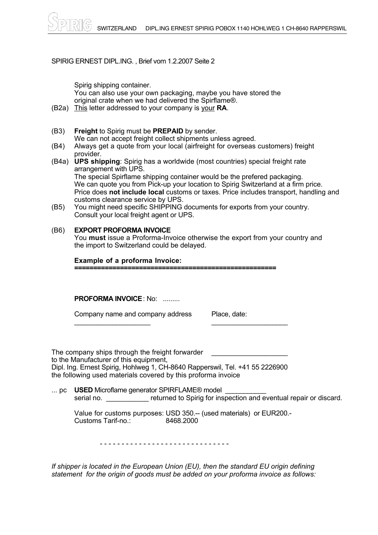SPIRIG ERNEST DIPL.ING., Brief vom 1.2.2007 Seite 2  $E(NLCT)$  on  $E(NC)$ , phot voin  $H.E.LOUT$  out  $E$ 

Spirig shipping container. You can also use your own packaging, maybe you have stored the original crate when we had delivered the Spirflame®.

- (B2a) This letter addressed to your company is your **RA**.
- (B3) **Freight** to Spirig must be **PREPAID** by sender. We can not accept freight collect shipments unless agreed.
- (B4) Always get a quote from your local (airfreight for overseas customers) freight provider.
- (B4a) **UPS shipping**: Spirig has a worldwide (most countries) special freight rate arrangement with UPS. The special Spirflame shipping container would be the prefered packaging. We can quote you from Pick-up your location to Spirig Switzerland at a firm price. Price does **not include local** customs or taxes. Price includes transport, handling and customs clearance service by UPS.
- (B5) You might need specific SHIPPING documents for exports from your country. Consult your local freight agent or UPS.

# (B6) **EXPORT PROFORMA INVOICE**

You **must** issue a Proforma-Invoice otherwise the export from your country and the import to Switzerland could be delayed.

## **Example of a proforma Invoice:**

**=====================================================**

 $\frac{1}{2}$  ,  $\frac{1}{2}$  ,  $\frac{1}{2}$  ,  $\frac{1}{2}$  ,  $\frac{1}{2}$  ,  $\frac{1}{2}$  ,  $\frac{1}{2}$  ,  $\frac{1}{2}$  ,  $\frac{1}{2}$  ,  $\frac{1}{2}$  ,  $\frac{1}{2}$  ,  $\frac{1}{2}$  ,  $\frac{1}{2}$  ,  $\frac{1}{2}$  ,  $\frac{1}{2}$  ,  $\frac{1}{2}$  ,  $\frac{1}{2}$  ,  $\frac{1}{2}$  ,  $\frac{1$ 

**PROFORMA INVOICE**: No: .........

Company name and company address Place, date:

The company ships through the freight forwarder to the Manufacturer of this equipment, Dipl. Ing. Ernest Spirig, Hohlweg 1, CH-8640 Rapperswil, Tel. +41 55 2226900 the following used materials covered by this proforma invoice

... pc USED Microflame generator SPIRFLAME® model serial no. **Exercise 1** returned to Spirig for inspection and eventual repair or discard.

|                    | Value for customs purposes: USD 350.-- (used materials) or EUR200.- |
|--------------------|---------------------------------------------------------------------|
| Customs Tarif-no.: | 8468.2000                                                           |

- - - - - - - - - - - - - - - - - - - - - - - - - - - - - -

*If shipper is located in the European Union (EU), then the standard EU origin defining statement for the origin of goods must be added on your proforma invoice as follows:*